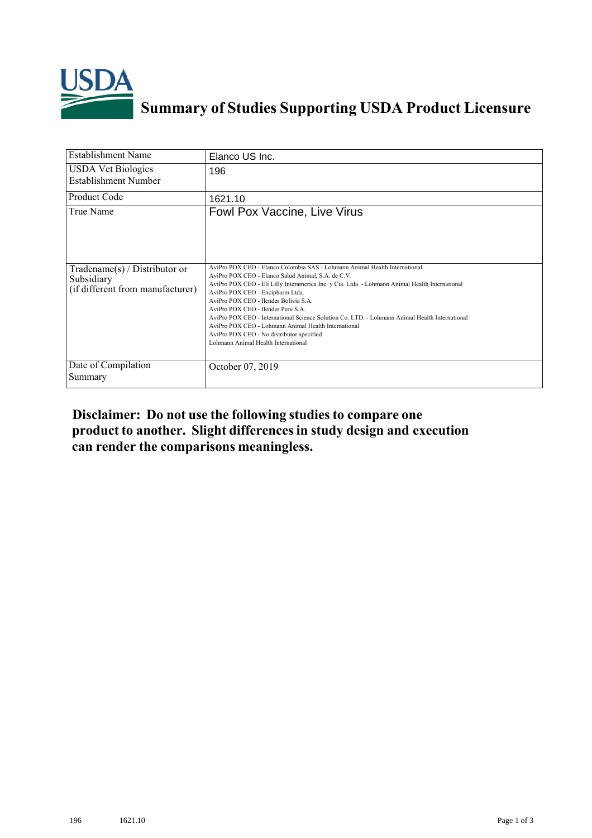

## **Summary of Studies Supporting USDA Product Licensure**

| <b>Establishment Name</b>                                                         | Elanco US Inc.                                                                                                                                                                                                                                                                                                                                                                                                                                                                                                                                                                                    |
|-----------------------------------------------------------------------------------|---------------------------------------------------------------------------------------------------------------------------------------------------------------------------------------------------------------------------------------------------------------------------------------------------------------------------------------------------------------------------------------------------------------------------------------------------------------------------------------------------------------------------------------------------------------------------------------------------|
| <b>USDA Vet Biologics</b><br><b>Establishment Number</b>                          | 196                                                                                                                                                                                                                                                                                                                                                                                                                                                                                                                                                                                               |
| <b>Product Code</b>                                                               | 1621.10                                                                                                                                                                                                                                                                                                                                                                                                                                                                                                                                                                                           |
| True Name                                                                         | Fowl Pox Vaccine, Live Virus                                                                                                                                                                                                                                                                                                                                                                                                                                                                                                                                                                      |
| $Tradename(s) / Distributor$ or<br>Subsidiary<br>(if different from manufacturer) | AviPro POX CEO - Elanco Colombia SAS - Lohmann Animal Health International<br>AviPro POX CEO - Elanco Salud Animal, S.A. de C.V.<br>AviPro POX CEO - Eli Lilly Interamerica Inc. y Cia. Ltda. - Lohmann Animal Health International<br>AviPro POX CEO - Encipharm Ltda.<br>AviPro POX CEO - Ilender Bolivia S A<br>AviPro POX CEO - Ilender Peru S.A.<br>AviPro POX CEO - International Science Solution Co LTD - Lohmann Animal Health International<br>AviPro POX CEO - Lohmann Animal Health International<br>AviPro POX CEO - No distributor specified<br>Lohmann Animal Health International |
| Date of Compilation<br>Summary                                                    | October 07, 2019                                                                                                                                                                                                                                                                                                                                                                                                                                                                                                                                                                                  |

## **Disclaimer: Do not use the following studiesto compare one product to another. Slight differencesin study design and execution can render the comparisons meaningless.**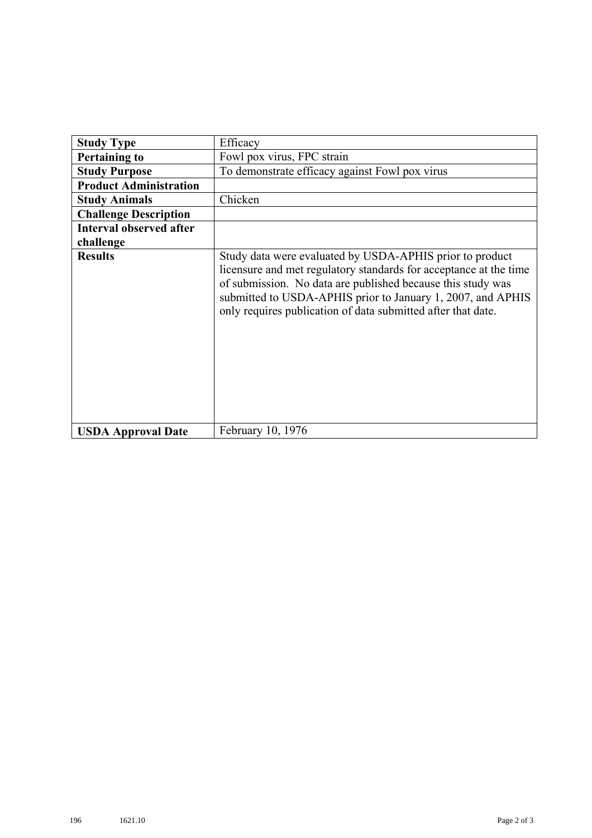| <b>Study Type</b>              | Efficacy                                                                                                                                                                                                                                                                                                                    |
|--------------------------------|-----------------------------------------------------------------------------------------------------------------------------------------------------------------------------------------------------------------------------------------------------------------------------------------------------------------------------|
|                                |                                                                                                                                                                                                                                                                                                                             |
| <b>Pertaining to</b>           | Fowl pox virus, FPC strain                                                                                                                                                                                                                                                                                                  |
| <b>Study Purpose</b>           | To demonstrate efficacy against Fowl pox virus                                                                                                                                                                                                                                                                              |
| <b>Product Administration</b>  |                                                                                                                                                                                                                                                                                                                             |
| <b>Study Animals</b>           | Chicken                                                                                                                                                                                                                                                                                                                     |
| <b>Challenge Description</b>   |                                                                                                                                                                                                                                                                                                                             |
| <b>Interval observed after</b> |                                                                                                                                                                                                                                                                                                                             |
| challenge                      |                                                                                                                                                                                                                                                                                                                             |
| <b>Results</b>                 | Study data were evaluated by USDA-APHIS prior to product<br>licensure and met regulatory standards for acceptance at the time<br>of submission. No data are published because this study was<br>submitted to USDA-APHIS prior to January 1, 2007, and APHIS<br>only requires publication of data submitted after that date. |
| <b>USDA Approval Date</b>      | February 10, 1976                                                                                                                                                                                                                                                                                                           |